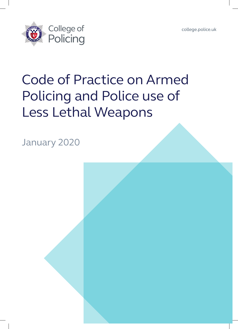[college.police.uk](http://www.college.police.uk)



# Code of Practice on Armed Policing and Police use of Less Lethal Weapons

January 2020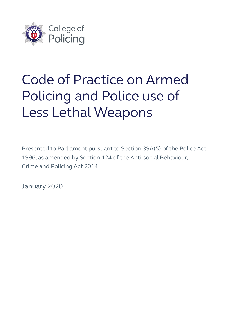

# Code of Practice on Armed Policing and Police use of Less Lethal Weapons

Presented to Parliament pursuant to Section 39A(5) of the Police Act 1996, as amended by Section 124 of the Anti-social Behaviour, Crime and Policing Act 2014

January 2020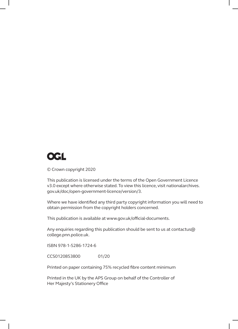## **OGL**

© Crown copyright 2020

This publication is licensed under the terms of the Open Government Licence v3.0 except where otherwise stated. To view this licence, visit nationalarchives. gov.uk/doc/open-government-licence/version/3.

Where we have identified any third party copyright information you will need to obtain permission from the copyright holders concerned.

This publication is available at www.gov.uk/official-documents.

Any enquiries regarding this publication should be sent to us at contactus@ college.pnn.police.uk.

ISBN 978-1-5286-1724-6

CCS0120853800 01/20

Printed on paper containing 75% recycled fibre content minimum

Printed in the UK by the APS Group on behalf of the Controller of Her Majesty's Stationery Office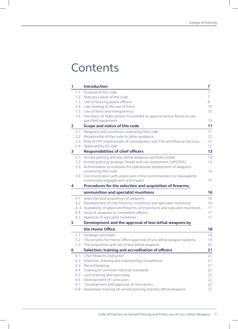### **Contents**

| 1            |     | <b>Introduction</b>                                                                            | 7               |
|--------------|-----|------------------------------------------------------------------------------------------------|-----------------|
|              | 1.1 | Purpose of the code                                                                            | 7               |
|              | 1.2 | Statutory basis of the code                                                                    | 7               |
|              | 1.3 | Use of force by police officers                                                                | 8               |
|              | 1.4 | Law relating to the use of force                                                               | 10              |
|              | 1.5 | Use of force and transparency                                                                  | 10              |
|              | 1.6 | Secretary of State powers to prohibit or approve police forces to use                          |                 |
|              |     | specified equipment                                                                            | 10              |
| $\mathbf{2}$ |     | Scope and status of this code                                                                  | 11              |
|              | 2.1 | Weapons and munitions covered by this code                                                     | 11              |
|              | 2.2 | Relationship of the code to other guidance                                                     | 12 <sup>2</sup> |
|              | 2.3 | Role of HM Inspectorate of Constabulary and Fire and Rescue Services                           | 12 <sup>°</sup> |
|              | 2.4 | Applicability of code                                                                          | 12              |
| 3            |     | <b>Responsibilities of chief officers</b>                                                      | 13              |
|              | 3.1 | Armed policing and less lethal weapons portfolio holder                                        | 13              |
|              | 3.2 | Armed policing strategic threat and risk assessment (APSTRA)                                   | 13              |
|              | 3.3 | Authorisation procedures for operational deployment of weapons                                 |                 |
|              |     | covered by this code                                                                           | 14              |
|              | 3.4 | Communication with police and crime commissioners (or equivalent)                              |                 |
|              |     | community engagement and impact                                                                | 15              |
| 4            |     | Procedures for the selection and acquisition of firearms,                                      |                 |
|              |     | ammunition and specialist munitions                                                            | 16              |
|              |     |                                                                                                |                 |
|              | 4.1 | Selection and acquisition of weapons                                                           | 16              |
|              | 4.2 | Development of new firearms, munitions and specialist munitions                                | 16              |
|              | 4.3 | Availability of approved firearms, ammunitions and specialist munitions                        | 17              |
|              | 4.4 | Issue of weapons to competent officers                                                         | 17              |
|              | 4.5 | Approval of specialist munitions                                                               | 17              |
| 5            |     | Development and the approval of less lethal weapons by                                         |                 |
|              |     | the Home Office                                                                                | 18              |
|              | 5.1 |                                                                                                | 18              |
|              |     | Strategic principles<br>5.2 The process for Home Office approval of less lethal weapon systems | 19              |
|              | 5.3 | The acquisition and use of less lethal weapons                                                 | 20              |
| 6            |     |                                                                                                | 21              |
|              | 6.1 | Selection, training and accreditation of officers<br>Chief firearms instructor                 | 21              |
|              | 6.2 | Selection, training and maintaining competence                                                 | 21              |
|              | 6.3 | Record keeping                                                                                 | 21              |
|              | 6.4 | Training to common national standards                                                          | 22              |
|              | 6.5 | Joint training and exercising                                                                  | 22              |
|              | 6.6 | Development of curriculum                                                                      | 22              |
|              | 6.7 | Development and approval of new tactics                                                        | 22              |
|              | 6.8 | Awareness training on armed policing and less lethal weapons                                   | 22              |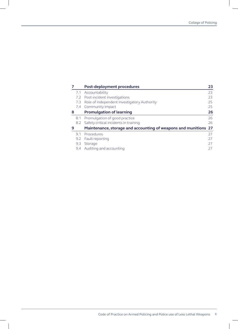|   |     | <b>Post-deployment procedures</b>                               | 23 |
|---|-----|-----------------------------------------------------------------|----|
|   | 7.1 | Accountability                                                  | 23 |
|   |     | 7.2 Post-incident investigations                                | 23 |
|   | 7.3 | Role of Independent Investigatory Authority                     | 25 |
|   |     | 7.4 Community impact                                            | 25 |
| 8 |     | <b>Promulgation of learning</b>                                 | 26 |
|   | 8.1 | Promulgation of good practice                                   | 26 |
|   |     | 8.2 Safety critical incidents in training                       | 26 |
| 9 |     | Maintenance, storage and accounting of weapons and munitions 27 |    |
|   | 9.1 | Procedures                                                      | 27 |
|   | 9.2 | Fault reporting                                                 | 27 |
|   | 9.3 | Storage                                                         | 27 |
|   |     | 9.4 Auditing and accounting                                     | 27 |

 $\overline{\phantom{a}}$ 

 $\overline{\phantom{a}}$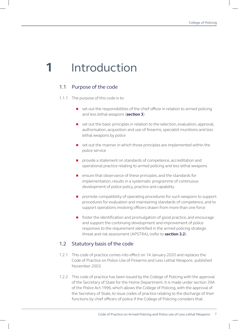# **1** Introduction

#### 1.1 Purpose of the code

- 1.1.1 The purpose of this code is to:
	- $\Box$  set out the responsibilities of the chief officer in relation to armed policing and less lethal weapons (**section 3**)
	- **n** set out the basic principles in relation to the selection, evaluation, approval, authorisation, acquisition and use of firearms, specialist munitions and less lethal weapons by police
	- set out the manner in which those principles are implemented within the police service
	- **n** provide a statement on standards of competence, accreditation and operational practice relating to armed policing and less lethal weapons
	- **n** ensure that observance of these principles, and the standards for implementation, results in a systematic programme of continuous development of police policy, practice and capability
	- promote compatibility of operating procedures for such weapons to support procedures for evaluation and maintaining standards of competence, and to support operations involving officers drawn from more than one force
	- **n** foster the identification and promulgation of good practice, and encourage and support the continuing development and improvement of police responses to the requirement identified in the armed policing strategic threat and risk assessment (APSTRA), (refer to **section 3.2**).

#### 1.2 Statutory basis of the code

- 1.2.1 This code of practice comes into effect on 14 January 2020 and replaces the Code of Practice on Police Use of Firearms and Less Lethal Weapons published November 2003.
- 1.2.2 This code of practice has been issued by the College of Policing with the approval of the Secretary of State for the Home Department. It is made under section 39A of the Police Act 1996, which allows the College of Policing, with the approval of the Secretary of State, to issue codes of practice relating to the discharge of their functions by chief officers of police if the College of Policing considers that: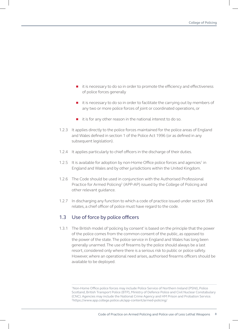- it is necessary to do so in order to promote the efficiency and effectiveness of police forces generally
- it is necessary to do so in order to facilitate the carrying out by members of any two or more police forces of joint or coordinated operations, or
- $\blacksquare$  it is for any other reason in the national interest to do so.
- 1.2.3 It applies directly to the police forces maintained for the police areas of England and Wales defined in section 1 of the Police Act 1996 (or as defined in any subsequent legislation).
- 1.2.4 It applies particularly to chief officers in the discharge of their duties.
- 1.2.5 It is available for adoption by non-Home Office police forces and agencies<sup>1</sup> in England and Wales and by other jurisdictions within the United Kingdom.
- 1.2.6 The Code should be used in conjunction with the Authorised Professional Practice for Armed Policing<sup>2</sup> (APP-AP) issued by the College of Policing and other relevant guidance.
- 1.2.7 In discharging any function to which a code of practice issued under section 39A relates, a chief officer of police must have regard to the code.

#### 1.3 Use of force by police officers

1.3.1 The British model of 'policing by consent' is based on the principle that the power of the police comes from the common consent of the public, as opposed to the power of the state. The police service in England and Wales has long been generally unarmed. The use of firearms by the police should always be a last resort, considered only where there is a serious risk to public or police safety. However, where an operational need arises, authorised firearms officers should be available to be deployed.

<sup>1</sup>Non-Home Office police forces may include Police Service of Northern Ireland (PSNI), Police Scotland, British Transport Police (BTP), Ministry of Defence Police and Civil Nuclear Constabulary (CNC). Agencies may include the National Crime Agency and HM Prison and Probation Service. 2https://www.app.college.police.uk/app-content/armed-policing/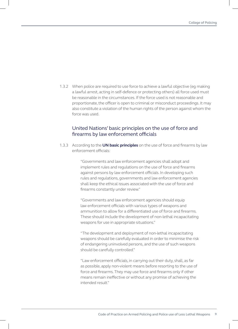1.3.2 When police are required to use force to achieve a lawful objective (eg making a lawful arrest, acting in self-defence or protecting others) all force used must be reasonable in the circumstances. If the force used is not reasonable and proportionate, the officer is open to criminal or misconduct proceedings. It may also constitute a violation of the human rights of the person against whom the force was used.

#### United Nations' basic principles on the use of force and firearms by law enforcement officials

1.3.3 According to the **[UN basic principles](https://www.ohchr.org/EN/ProfessionalInterest/Pages/UseOfForceAndFirearms.aspx)** on the use of force and firearms by law enforcement officials:

> "Governments and law enforcement agencies shall adopt and implement rules and regulations on the use of force and firearms against persons by law enforcement officials. In developing such rules and regulations, governments and law enforcement agencies shall keep the ethical issues associated with the use of force and firearms constantly under review."

> "Governments and law enforcement agencies should equip law enforcement officials with various types of weapons and ammunition to allow for a differentiated use of force and firearms. These should include the development of non-lethal incapacitating weapons for use in appropriate situations."

> "The development and deployment of non-lethal incapacitating weapons should be carefully evaluated in order to minimise the risk of endangering uninvolved persons, and the use of such weapons should be carefully controlled."

"Law enforcement officials, in carrying out their duty, shall, as far as possible, apply non-violent means before resorting to the use of force and firearms. They may use force and firearms only if other means remain ineffective or without any promise of achieving the intended result."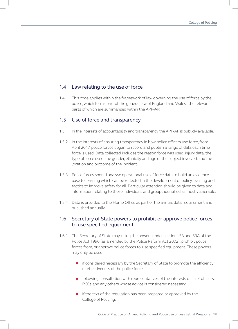#### 1.4 Law relating to the use of force

1.4.1 This code applies within the framework of law governing the use of force by the police, which forms part of the general law of England and Wales - the relevant parts of which are summarised within the APP-AP.

#### 1.5 Use of force and transparency

- 1.5.1 In the interests of accountability and transparency the APP-AP is publicly available.
- 1.5.2 In the interests of ensuring transparency in how police officers use force, from April 2017 police forces began to record and publish a range of data each time force is used. Data collected includes the reason force was used, injury data, the type of force used, the gender, ethnicity and age of the subject involved, and the location and outcome of the incident.
- 1.5.3 Police forces should analyse operational use of force data to build an evidence base to learning which can be reflected in the development of policy, training and tactics to improve safety for all. Particular attention should be given to data and information relating to those individuals and groups identified as most vulnerable.
- 1.5.4 Data is provided to the Home Office as part of the annual data requirement and published annually.

#### 1.6 Secretary of State powers to prohibit or approve police forces to use specified equipment

- 1.6.1 The Secretary of State may, using the powers under sections 53 and 53A of the Police Act 1996 (as amended by the Police Reform Act 2002), prohibit police forces from, or approve police forces to, use specified equipment. These powers may only be used:
	- **n** if considered necessary by the Secretary of State to promote the efficiency or effectiveness of the police force
	- n following consultation with representatives of the interests of chief officers, PCCs and any others whose advice is considered necessary
	- $\blacksquare$  if the text of the regulation has been prepared or approved by the College of Policing.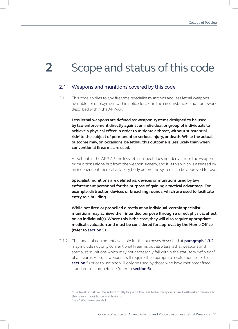# **2** Scope and status of this code

#### 2.1 Weapons and munitions covered by this code

2.1.1 This code applies to any firearms, specialist munitions and less lethal weapons available for deployment within police forces, in the circumstances and framework described within the APP-AP.

**Less lethal weapons are defined as: weapon systems designed to be used by law enforcement directly against an individual or group of individuals to achieve a physical effect in order to mitigate a threat, without substantial risk<sup>3</sup> to the subject of permanent or serious injury, or death. While the actual outcome may, on occasions, be lethal, this outcome is less likely than when conventional firearms are used.** 

As set out in the APP-AP, the less lethal aspect does not derive from the weapon or munitions alone but from the weapon system, and it is this which is assessed by an independent medical advisory body before the system can be approved for use.

**Specialist munitions are defined as: devices or munitions used by law enforcement personnel for the purpose of gaining a tactical advantage. For example, distraction devices or breaching rounds, which are used to facilitate entry to a building.** 

**While not fired or propelled directly at an individual, certain specialist munitions may achieve their intended purpose through a direct physical effect on an individual(s). Where this is the case, they will also require appropriate medical evaluation and must be considered for approval by the Home Office (refer to section 5).**

2.1.2 The range of equipment available for the purposes described at **paragraph 1.3.2** may include not only conventional firearms but also less lethal weapons and specialist munitions which may not necessarily fall within the statutory definition<sup>4</sup> of a firearm. All such weapons will require the appropriate evaluation (refer to **section 5**) prior to use and will only be used by those who have met predefined standards of competence (refer to **section 6**).

<sup>3</sup>The level of risk will be substantially higher if the less lethal weapon is used without adherence to the relevant guidance and training. <sup>4</sup>See 1968 Firearms Act.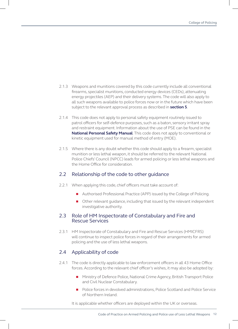- 2.1.3 Weapons and munitions covered by this code currently include all conventional firearms, specialist munitions, conducted energy devices (CEDs), attenuating energy projectiles (AEP) and their delivery systems. The code will also apply to all such weapons available to police forces now or in the future which have been subject to the relevant approval process as described in **section 5**.
- 2.1.4 This code does not apply to personal safety equipment routinely issued to patrol officers for self-defence purposes, such as a baton, sensory irritant spray and restraint equipment. Information about the use of PSE can be found in the **[National Personal Safety Manual](https://www.ohchr.org/EN/ProfessionalInterest/Pages/UseOfForceAndFirearms.aspx)**. This code does not apply to conventional or kinetic equipment used for manual method of entry (MOE).
- 2.1.5 Where there is any doubt whether this code should apply to a firearm, specialist munition or less lethal weapon, it should be referred to the relevant National Police Chiefs' Council (NPCC) leads for armed policing or less lethal weapons and the Home Office for consideration.

#### 2.2 Relationship of the code to other guidance

- 2.2.1 When applying this code, chief officers must take account of:
	- Authorised Professional Practice (APP) issued by the College of Policing.
	- Other relevant quidance, including that issued by the relevant independent investigative authority.

#### 2.3 Role of HM Inspectorate of Constabulary and Fire and Rescue Services

2.3.1 HM Inspectorate of Constabulary and Fire and Rescue Services (HMICFRS) will continue to inspect police forces in regard of their arrangements for armed policing and the use of less lethal weapons.

#### 2.4 Applicability of code

- 2.4.1 The code is directly applicable to law enforcement officers in all 43 Home Office forces. According to the relevant chief officer's wishes, it may also be adopted by:
	- n Ministry of Defence Police, National Crime Agency, British Transport Police and Civil Nuclear Constabulary.
	- n Police forces in devolved administrations, Police Scotland and Police Service of Northern Ireland.

It is applicable whether officers are deployed within the UK or overseas.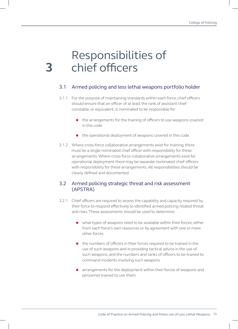# Responsibilities of chief officers

**3**

#### 3.1 Armed policing and less lethal weapons portfolio holder

- 3.1.1 For the purpose of maintaining standards within each force, chief officers should ensure that an officer of at least the rank of assistant chief constable, or equivalent, is nominated to be responsible for:
	- $\blacksquare$  the arrangements for the training of officers to use weapons covered in this code
	- $\blacksquare$  the operational deployment of weapons covered in this code.
- 3.1.2 Where cross-force collaborative arrangements exist for training, there must be a single nominated chief officer with responsibility for these arrangements. Where cross-force collaborative arrangements exist for operational deployment there may be separate nominated chief officers with responsibility for these arrangements. All responsibilities should be clearly defined and documented.

#### 3.2 Armed policing strategic threat and risk assessment (APSTRA)

- 3.2.1 Chief officers are required to assess the capability and capacity required by their force to respond effectively to identified armed policing related threat and risks. These assessments should be used to determine:
	- $\blacksquare$  what types of weapons need to be available within their forces, either from each force's own resources or by agreement with one or more other forces
	- the numbers of officers in their forces required to be trained in the use of such weapons and in providing tactical advice in the use of such weapons, and the numbers and ranks of officers to be trained to command incidents involving such weapons
	- arrangements for the deployment within their forces of weapons and personnel trained to use them.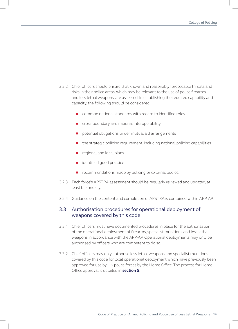- 3.2.2 Chief officers should ensure that known and reasonably foreseeable threats and risks in their police areas, which may be relevant to the use of police firearms and less lethal weapons, are assessed. In establishing the required capability and capacity, the following should be considered:
	- $\Box$  common national standards with regard to identified roles
	- cross-boundary and national interoperability
	- **n** potential obligations under mutual aid arrangements
	- $\blacksquare$  the strategic policing requirement, including national policing capabilities
	- regional and local plans
	- $\blacksquare$  identified good practice
	- $\blacksquare$  recommendations made by policing or external bodies.
- 3.2.3 Each force's APSTRA assessment should be regularly reviewed and updated, at least bi-annually.
- 3.2.4 Guidance on the content and completion of APSTRA is contained within APP-AP.

#### 3.3 Authorisation procedures for operational deployment of weapons covered by this code

- 3.3.1 Chief officers must have documented procedures in place for the authorisation of the operational deployment of firearms, specialist munitions and less lethal weapons in accordance with the APP-AP. Operational deployments may only be authorised by officers who are competent to do so.
- 3.3.2 Chief officers may only authorise less lethal weapons and specialist munitions covered by this code for local operational deployment which have previously been approved for use by UK police forces by the Home Office. The process for Home Office approval is detailed in **section 5**.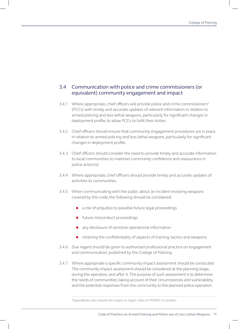#### 3.4 Communication with police and crime commissioners (or equivalent) community engagement and impact

- 3.4.1 Where appropriate, chief officers will provide police and crime commissioners<sup>5</sup> (PCCs) with timely and accurate updates of relevant information in relation to armed policing and less lethal weapons, particularly for significant changes in deployment profile, to allow PCCs to fulfil their duties.
- 3.4.2 Chief officers should ensure that community engagement procedures are in place in relation to armed policing and less lethal weapons, particularly for significant changes in deployment profile.
- 3.4.3 Chief officers should consider the need to provide timely and accurate information to local communities to maintain community confidence and reassurance in police action(s).
- 3.4.4 Where appropriate, chief officers should provide timely and accurate updates of activities to communities.
- 3.4.5 When communicating with the public about an incident involving weapons covered by this code, the following should be considered:
	- a risk of prejudice to possible future legal proceedings
	- **n** future misconduct proceedings
	- n any disclosure of sensitive operational information
	- $\blacksquare$  retaining the confidentiality of aspects of training, tactics and weapons.
- 3.4.6 Due regard should be given to authorised professional practice on engagement and communication, published by the College of Policing.
- 3.4.7 Where appropriate a specific community impact assessment should be conducted. The community impact assessment should be considered at the planning stage, during the operation, and after it. The purpose of such assessment is to determine the needs of communities, taking account of their circumstances and vulnerability, and the potential responses from the community to the planned police operation.

<sup>&</sup>lt;sup>5</sup>Equivalents can include the mayor in major cities or MOPAC in London.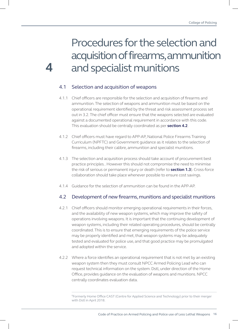## Procedures for the selection and acquisition of firearms, ammunition **4** and specialist munitions

#### 4.1 Selection and acquisition of weapons

- 4.1.1 Chief officers are responsible for the selection and acquisition of firearms and ammunition. The selection of weapons and ammunition must be based on the operational requirement identified by the threat and risk assessment process set out in 3.2. The chief officer must ensure that the weapons selected are evaluated against a documented operational requirement in accordance with this code. This evaluation should be centrally coordinated as per **section 4.2**.
- 4.1.2 Chief officers must have regard to APP-AP, National Police Firearms Training Curriculum (NPFTC) and Government guidance as it relates to the selection of firearms, including their calibre, ammunition and specialist munitions.
- 4.1.3 The selection and acquisition process should take account of procurement best practice principles.. However this should not compromise the need to minimise the risk of serious or permanent injury or death (refer to **section 1.3**). Cross-force collaboration should take place whenever possible to ensure cost savings.
- 4.1.4 Guidance for the selection of ammunition can be found in the APP-AP.

#### 4.2 Development of new firearms, munitions and specialist munitions

- 4.2.1 Chief officers should monitor emerging operational requirements in their forces, and the availability of new weapon systems, which may improve the safety of operations involving weapons. It is important that the continuing development of weapon systems, including their related operating procedures, should be centrally coordinated. This is to ensure that emerging requirements of the police service may be properly identified and met, that weapon systems may be adequately tested and evaluated for police use, and that good practice may be promulgated and adopted within the service.
- 4.2.2 Where a force identifies an operational requirement that is not met by an existing weapon system then they must consult NPCC Armed Policing Lead who can request technical information on the system. Dstl, under direction of the Home Office, provides guidance on the evaluation of weapons and munitions. NPCC centrally coordinates evaluation data.

<sup>6</sup>Formerly Home Office CAST (Centre for Applied Science and Technology) prior to their merger with Dstl in April 2018.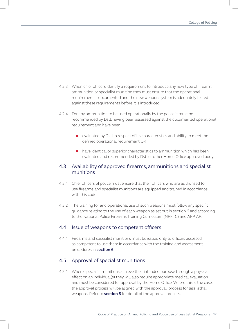- 4.2.3 When chief officers identify a requirement to introduce any new type of firearm, ammunition or specialist munition they must ensure that the operational requirement is documented and the new weapon system is adequately tested against these requirements before it is introduced.
- 4.2.4 For any ammunition to be used operationally by the police it must be recommended by Dstl, having been assessed against the documented operational requirement and have been:
	- evaluated by Dstl in respect of its characteristics and ability to meet the defined operational requirement OR
	- n have identical or superior characteristics to ammunition which has been evaluated and recommended by Dstl or other Home Office approved body.

#### 4.3 Availability of approved firearms, ammunitions and specialist munitions

- 4.3.1 Chief officers of police must ensure that their officers who are authorised to use firearms and specialist munitions are equipped and trained in accordance with this code.
- 4.3.2 The training for and operational use of such weapons must follow any specific guidance relating to the use of each weapon as set out in section 6 and according to the National Police Firearms Training Curriculum (NPFTC) and APP-AP.

#### 4.4 Issue of weapons to competent officers

4.4.1 Firearms and specialist munitions must be issued only to officers assessed as competent to use them in accordance with the training and assessment procedures in **section 6**.

#### 4.5 Approval of specialist munitions

4.5.1 Where specialist munitions achieve their intended purpose through a physical effect on an individual(s) they will also require appropriate medical evaluation and must be considered for approval by the Home Office. Where this is the case, the approval process will be aligned with the approval process for less lethal weapons. Refer to **section 5** for detail of the approval process.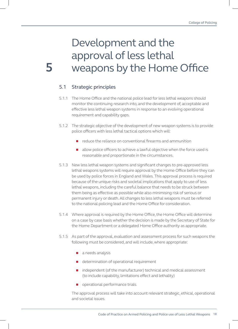## Development and the approval of less lethal **5** weapons by the Home Office

#### 5.1 Strategic principles

- 5.1.1 The Home Office and the national police lead for less lethal weapons should monitor the continuing research into, and the development of, acceptable and effective less lethal weapon systems in response to an evolving operational requirement and capability gaps.
- 5.1.2 The strategic objective of the development of new weapon systems is to provide police officers with less lethal tactical options which will:
	- n reduce the reliance on conventional firearms and ammunition
	- allow police officers to achieve a lawful objective when the force used is reasonable and proportionate in the circumstances.
- 5.1.3 New less lethal weapon systems and significant changes to pre-approved less lethal weapons systems will require approval by the Home Office before they can be used by police forces in England and Wales. This approval process is required because of the unique risks and societal implications that apply to use of less lethal weapons, including the careful balance that needs to be struck between them being as effective as possible while also minimising risk of serious or permanent injury or death. All changes to less lethal weapons must be referred to the national policing lead and the Home Office for consideration.
- 5.1.4 Where approval is required by the Home Office, the Home Office will determine on a case by case basis whether the decision is made by the Secretary of State for the Home Department or a delegated Home Office authority as appropriate.
- 5.1.5 As part of the approval, evaluation and assessment process for such weapons the following must be considered, and will include, where appropriate:
	- a needs analysis
	- determination of operational requirement
	- n independent (of the manufacturer) technical and medical assessment (to include capability, limitations effect and lethality)
	- **n** operational performance trials.

The approval process will take into account relevant strategic, ethical, operational and societal issues.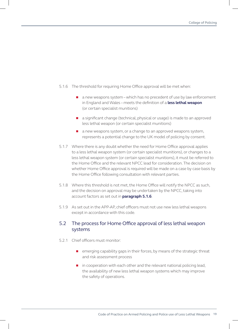- 5.1.6 The threshold for requiring Home Office approval will be met when:
	- $\Box$  a new weapons system which has no precedent of use by law enforcement in England and Wales – meets the definition of a **less lethal weapon** (or certain specialist munitions)
	- a significant change (technical, physical or usage) is made to an approved less lethal weapon (or certain specialist munitions)
	- $\blacksquare$  a new weapons system, or a change to an approved weapons system, represents a potential change to the UK model of policing by consent.
- 5.1.7 Where there is any doubt whether the need for Home Office approval applies to a less lethal weapon system (or certain specialist munitions), or changes to a less lethal weapon system (or certain specialist munitions), it must be referred to the Home Office and the relevant NPCC lead for consideration. The decision on whether Home Office approval is required will be made on a case by case basis by the Home Office following consultation with relevant parties.
- 5.1.8 Where this threshold is not met, the Home Office will notify the NPCC as such, and the decision on approval may be undertaken by the NPCC, taking into account factors as set out in **paragraph 5.1.6**.
- 5.1.9 As set out in the APP-AP, chief officers must not use new less lethal weapons except in accordance with this code.

#### 5.2 The process for Home Office approval of less lethal weapon systems

- 5.2.1 Chief officers must monitor:
	- **n** emerging capability gaps in their forces, by means of the strategic threat and risk assessment process
	- $\blacksquare$  in cooperation with each other and the relevant national policing lead, the availability of new less lethal weapon systems which may improve the safety of operations.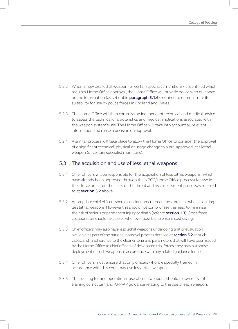- 5.2.2 When a new less lethal weapon (or certain specialist munitions) is identified which requires Home Office approval, the Home Office will provide police with guidance on the information (as set out in **paragraph 5.1.6**) required to demonstrate its suitability for use by police forces in England and Wales.
- 5.2.3 The Home Office will then commission independent technical and medical advice to assess the technical characteristics and medical implications associated with the weapon system's use. The Home Office will take into account all relevant information and make a decision on approval.
- 5.2.4 A similar process will take place to allow the Home Office to consider the approval of a significant technical, physical or usage change to a pre-approved less lethal weapon (or certain specialist munitions).

#### 5.3 The acquisition and use of less lethal weapons

- 5.3.1 Chief officers will be responsible for the acquisition of less lethal weapons (which have already been approved through the NPCC/Home Office process) for use in their force areas, on the basis of the threat and risk assessment processes referred to at **section 3.2** above.
- 5.3.2 Appropriate chief officers should consider procurement best practice when acquiring less lethal weapons. However this should not compromise the need to minimise the risk of serious or permanent injury or death (refer to **section 1.3**). Cross-force collaboration should take place whenever possible to ensure cost savings.
- 5.3.3 Chief officers may also have less lethal weapons undergoing trial or evaluation available as part of the national approval process detailed at **section 5.2**. In such cases, and in adherence to the clear criteria and parameters that will have been issued by the Home Office to chief officers of designated trial forces, they may authorise deployment of such weapons in accordance with any related guidance for use.
- 5.3.4 Chief officers must ensure that only officers who are specially trained in accordance with this code may use less lethal weapons.
- 5.3.5 The training for and operational use of such weapons should follow relevant training curriculum and APP-AP guidance relating to the use of each weapon.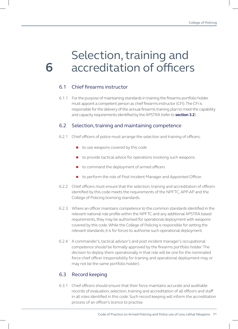## Selection, training and **6** accreditation of officers

#### 6.1 Chief firearms instructor

6.1.1 For the purpose of maintaining standards in training the firearms portfolio holder must appoint a competent person as chief firearms instructor (CFI). The CFI is responsible for the delivery of the annual firearms training plan to meet the capability and capacity requirements identified by the APSTRA (refer to **section 3.2**).

#### 6.2 Selection, training and maintaining competence

- 6.2.1 Chief officers of police must arrange the selection and training of officers:
	- to use weapons covered by this code
	- $\Box$  to provide tactical advice for operations involving such weapons
	- to command the deployment of armed officers
	- to perform the role of Post Incident Manager and Appointed Officer.
- 6.2.2 Chief officers must ensure that the selection, training and accreditation of officers identified by this code meets the requirements of the NPFTC, APP-AP and the College of Policing licensing standards.
- 6.2.3 Where an officer maintains competence to the common standards identified in the relevant national role profile within the NPFTC and any additional APSTRA based requirements, they may be authorised for operational deployment with weapons covered by this code. While the College of Policing is responsible for setting the relevant standards, it is for forces to authorise such operational deployment.
- 6.2.4 A commander's, tactical advisor's and post incident manager's occupational competence should be formally approved by the firearms portfolio holder. The decision to deploy them operationally in that role will be one for the nominated force chief officer (responsibility for training and operational deployment may or may not be the same portfolio holder).

#### 6.3 Record keeping

6.3.1 Chief officers should ensure that their force maintains accurate and auditable records of evaluation, selection, training and accreditation of all officers and staff in all roles identified in this code. Such record keeping will inform the accreditation process of an officer's licence to practise.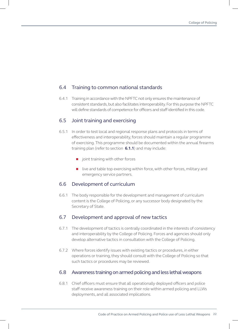#### 6.4 Training to common national standards

6.4.1 Training in accordance with the NPFTC not only ensures the maintenance of consistent standards, but also facilitates interoperability. For this purpose the NPFTC will define standards of competence for officers and staff identified in this code.

#### 6.5 Joint training and exercising

- 6.5.1 In order to test local and regional response plans and protocols in terms of effectiveness and interoperability, forces should maintain a regular programme of exercising. This programme should be documented within the annual firearms training plan (refer to section **6.1.1**) and may include:
	- $\blacksquare$  joint training with other forces
	- $\blacksquare$  live and table top exercising within force, with other forces, military and emergency service partners.

#### 6.6 Development of curriculum

6.6.1 The body responsible for the development and management of curriculum content is the College of Policing, or any successor body designated by the Secretary of State.

#### 6.7 Development and approval of new tactics

- 6.7.1 The development of tactics is centrally coordinated in the interests of consistency and interoperability by the College of Policing. Forces and agencies should only develop alternative tactics in consultation with the College of Policing.
- 6.7.2 Where forces identify issues with existing tactics or procedures, in either operations or training, they should consult with the College of Policing so that such tactics or procedures may be reviewed.

#### 6.8 Awareness training on armed policing and less lethal weapons

6.8.1 Chief officers must ensure that all operationally deployed officers and police staff receive awareness training on their role within armed policing and LLWs deployments, and all associated implications.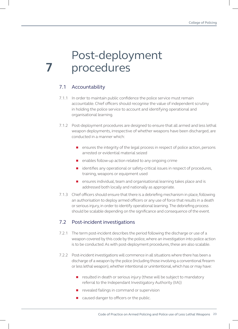## Post-deployment **7** procedures

#### 7.1 Accountability

- 7.1.1 In order to maintain public confidence the police service must remain accountable. Chief officers should recognise the value of independent scrutiny in holding the police service to account and identifying operational and organisational learning.
- 7.1.2 Post-deployment procedures are designed to ensure that all armed and less lethal weapon deployments, irrespective of whether weapons have been discharged, are conducted in a manner which:
	- **n** ensures the integrity of the legal process in respect of police action, persons arrested or evidential material seized
	- $\blacksquare$  enables follow-up action related to any ongoing crime
	- identifies any operational or safety-critical issues in respect of procedures, training, weapons or equipment used
	- **n** ensures individual, team and organisational learning takes place and is addressed both locally and nationally as appropriate.
- 7.1.3 Chief officers should ensure that there is a debriefing mechanism in place, following an authorisation to deploy armed officers or any use of force that results in a death or serious injury, in order to identify operational learning. The debriefing process should be scalable depending on the significance and consequence of the event.

#### 7.2 Post-incident investigations

- 7.2.1 The term post-incident describes the period following the discharge or use of a weapon covered by this code by the police, where an investigation into police action is to be conducted. As with post-deployment procedures, these are also scalable.
- 7.2.2 Post-incident investigations will commence in all situations where there has been a discharge of a weapon by the police (including those involving a conventional firearm or less lethal weapon), whether intentional or unintentional, which has or may have:
	- **n** resulted in death or serious injury (these will be subject to mandatory referral to the Independant Investigatory Authority (IIA))
	- $\blacksquare$  revealed failings in command or supervision
	- caused danger to officers or the public.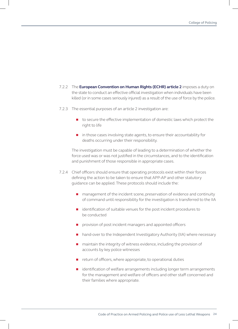- 7.2.2 The **[European Convention on Human Rights \(ECHR\) article 2](https://www.echr.coe.int/Documents/Convention_ENG.pdf#page=2)** imposes a duty on the state to conduct an effective official investigation when individuals have been killed (or in some cases seriously injured) as a result of the use of force by the police.
- 7.2.3 The essential purposes of an article 2 investigation are:
	- to secure the effective implementation of domestic laws which protect the right to life
	- n in those cases involving state agents, to ensure their accountability for deaths occurring under their responsibility.

The investigation must be capable of leading to a determination of whether the force used was or was not justified in the circumstances, and to the identification and punishment of those responsible in appropriate cases.

- 7.2.4 Chief officers should ensure that operating protocols exist within their forces defining the action to be taken to ensure that APP-AP and other statutory guidance can be applied. These protocols should include the:
	- n management of the incident scene, preservation of evidence and continuity of command until responsibility for the investigation is transferred to the IIA
	- identification of suitable venues for the post incident procedures to be conducted
	- $\Box$  provision of post incident managers and appointed officers
	- n hand-over to the Independent Investigatory Authority (IIA) where necessary
	- n maintain the integrity of witness evidence, including the provision of accounts by key police witnesses
	- $\blacksquare$  return of officers, where appropriate, to operational duties
	- identification of welfare arrangements including longer term arrangements for the management and welfare of officers and other staff concerned and their families where appropriate.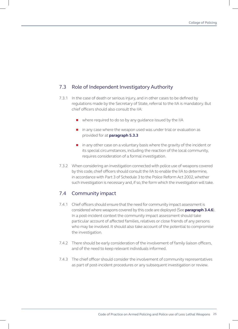#### 7.3 Role of Independent Investigatory Authority

- 7.3.1 In the case of death or serious injury, and in other cases to be defined by regulations made by the Secretary of State, referral to the IIA is mandatory. But chief officers should also consult the IIA:
	- $\blacksquare$  where required to do so by any quidance issued by the IIA
	- $\blacksquare$  in any case where the weapon used was under trial or evaluation as provided for at **paragraph 5.3.3**
	- n in any other case on a voluntary basis where the gravity of the incident or its special circumstances, including the reaction of the local community, requires consideration of a formal investigation.
- 7.3.2 When considering an investigation connected with police use of weapons covered by this code, chief officers should consult the IIA to enable the IIA to determine, in accordance with Part 3 of Schedule 3 to the Police Reform Act 2002, whether such investigation is necessary and, if so, the form which the investigation will take.

#### 7.4 Community impact

- 7.4.1 Chief officers should ensure that the need for community impact assessment is considered where weapons covered by this code are deployed (See **paragraph 3.4.6**). In a post-incident context the community impact assessment should take particular account of affected families, relatives or close friends of any persons who may be involved. It should also take account of the potential to compromise the investigation.
- 7.4.2 There should be early consideration of the involvement of family liaison officers, and of the need to keep relevant individuals informed.
- 7.4.3 The chief officer should consider the involvement of community representatives as part of post-incident procedures or any subsequent investigation or review.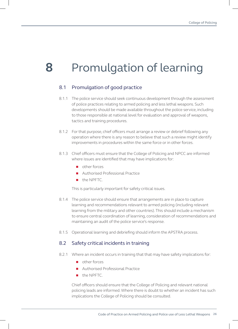# **8** Promulgation of learning

#### 8.1 Promulgation of good practice

- 8.1.1 The police service should seek continuous development through the assessment of police practices relating to armed policing and less lethal weapons. Such developments should be made available throughout the police service, including to those responsible at national level for evaluation and approval of weapons, tactics and training procedures.
- 8.1.2 For that purpose, chief officers must arrange a review or debrief following any operation where there is any reason to believe that such a review might identify improvements in procedures within the same force or in other forces.
- 8.1.3 Chief officers must ensure that the College of Policing and NPCC are informed where issues are identified that may have implications for:
	- $\blacksquare$  other forces
	- Authorised Professional Practice
	- **n** the NPFTC.

This is particularly important for safety critical issues.

- 8.1.4 The police service should ensure that arrangements are in place to capture learning and recommendations relevant to armed policing (including relevant learning from the military and other countries). This should include a mechanism to ensure central coordination of learning, consideration of recommendations and maintaining an audit of the police service's response.
- 8.1.5 Operational learning and debriefing should inform the APSTRA process.

#### 8.2 Safety critical incidents in training

- 8.2.1 Where an incident occurs in training that that may have safety implications for:
	- n other forces
	- Authorised Professional Practice
	- the NPFTC.

Chief officers should ensure that the College of Policing and relevant national policing leads are informed. Where there is doubt to whether an incident has such implications the College of Policing should be consulted.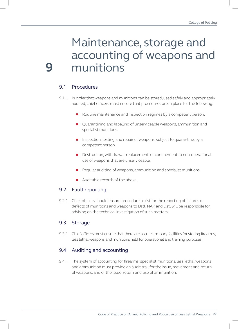### Maintenance, storage and accounting of weapons and **9** munitions

#### 9.1 Procedures

- 9.1.1 In order that weapons and munitions can be stored, used safely and appropriately audited, chief officers must ensure that procedures are in place for the following:
	- Routine maintenance and inspection regimes by a competent person.
	- **n** Quarantining and labelling of unserviceable weapons, ammunition and specialist munitions.
	- **n** Inspection, testing and repair of weapons, subject to quarantine, by a competent person.
	- **n** Destruction, withdrawal, replacement, or confinement to non-operational use of weapons that are unserviceable.
	- $\blacksquare$  Regular auditing of weapons, ammunition and specialist munitions.
	- Auditable records of the above.

#### 9.2 Fault reporting

9.2.1 Chief officers should ensure procedures exist for the reporting of failures or defects of munitions and weapons to Dstl. NAP and Dstl will be responsible for advising on the technical investigation of such matters.

#### 9.3 Storage

9.3.1 Chief officers must ensure that there are secure armoury facilities for storing firearms, less lethal weapons and munitions held for operational and training purposes.

#### 9.4 Auditing and accounting

9.4.1 The system of accounting for firearms, specialist munitions, less lethal weapons and ammunition must provide an audit trail for the issue, movement and return of weapons, and of the issue, return and use of ammunition.